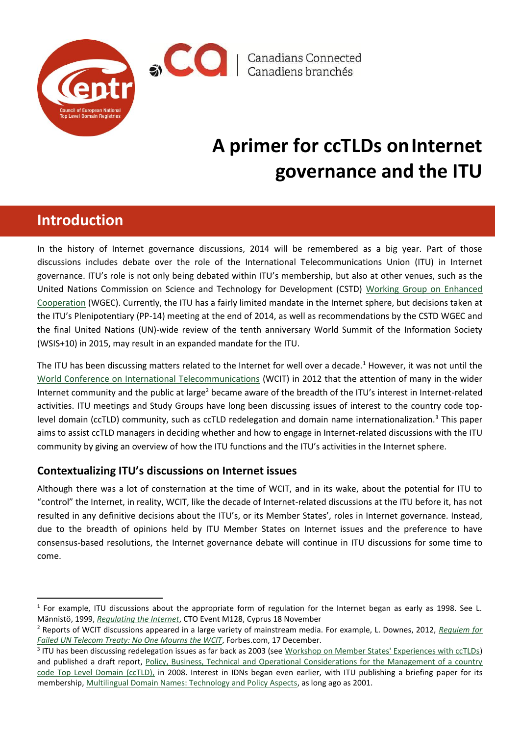

 $\bigcirc$   $\bigcirc$   $\bigcirc$   $\bigcirc$   $\bigcirc$   $\bigcirc$   $\bigcirc$   $\bigcirc$   $\bigcirc$   $\bigcirc$   $\bigcirc$   $\bigcirc$   $\bigcirc$   $\bigcirc$   $\bigcirc$   $\bigcirc$   $\bigcirc$   $\bigcirc$   $\bigcirc$   $\bigcirc$   $\bigcirc$   $\bigcirc$   $\bigcirc$   $\bigcirc$   $\bigcirc$   $\bigcirc$   $\bigcirc$   $\bigcirc$   $\bigcirc$   $\bigcirc$   $\bigcirc$   $\bigcirc$   $\bigcirc$   $\bigcirc$   $\bigcirc$   $\bigcirc$   $\bigcirc$ 

# **A primer for ccTLDs onInternet governance and the ITU**

# **Introduction**

 $\ddot{\phantom{a}}$ 

In the history of Internet governance discussions, 2014 will be remembered as a big year. Part of those discussions includes debate over the role of the International Telecommunications Union (ITU) in Internet governance. ITU's role is not only being debated within ITU's membership, but also at other venues, such as the United Nations Commission on Science and Technology for Development (CSTD) [Working Group on Enhanced](http://unctad.org/en/Pages/CSTD/WGEC.aspx)  [Cooperation](http://unctad.org/en/Pages/CSTD/WGEC.aspx) (WGEC). Currently, the ITU has a fairly limited mandate in the Internet sphere, but decisions taken at the ITU's Plenipotentiary (PP-14) meeting at the end of 2014, as well as recommendations by the CSTD WGEC and the final United Nations (UN)-wide review of the tenth anniversary World Summit of the Information Society (WSIS+10) in 2015, may result in an expanded mandate for the ITU.

The ITU has been discussing matters related to the Internet for well over a decade.<sup>1</sup> However, it was not until the [World Conference on International Telecommunications](http://www.itu.int/en/wcit-12/Pages/default.aspx) (WCIT) in 2012 that the attention of many in the wider Internet community and the public at large<sup>2</sup> became aware of the breadth of the ITU's interest in Internet-related activities. ITU meetings and Study Groups have long been discussing issues of interest to the country code toplevel domain (ccTLD) community, such as ccTLD redelegation and domain name internationalization.<sup>3</sup> This paper aims to assist ccTLD managers in deciding whether and how to engage in Internet-related discussions with the ITU community by giving an overview of how the ITU functions and the ITU's activities in the Internet sphere.

## **Contextualizing ITU's discussions on Internet issues**

Although there was a lot of consternation at the time of WCIT, and in its wake, about the potential for ITU to "control" the Internet, in reality, WCIT, like the decade of Internet-related discussions at the ITU before it, has not resulted in any definitive decisions about the ITU's, or its Member States', roles in Internet governance. Instead, due to the breadth of opinions held by ITU Member States on Internet issues and the preference to have consensus-based resolutions, the Internet governance debate will continue in ITU discussions for some time to come.

 $1$  For example, ITU discussions about the appropriate form of regulation for the Internet began as early as 1998. See L. Männistö, 1999, *[Regulating the Internet](http://www.itu.int/ITU-D/ict/papers/1999/LM-Cyprus-Nov99.ppt)*, CTO Event M128, Cyprus 18 November

<sup>2</sup> Reports of WCIT discussions appeared in a large variety of mainstream media. For example, L. Downes, 2012, *[Requiem for](http://www.forbes.com/sites/larrydownes/2012/12/17/no-one-mourns-the-wcit/)  [Failed UN Telecom Treaty: No One Mourns the WCIT](http://www.forbes.com/sites/larrydownes/2012/12/17/no-one-mourns-the-wcit/)*, Forbes.com, 17 December.

<sup>&</sup>lt;sup>3</sup> ITU has been discussing redelegation issues as far back as 2003 (see [Workshop on Member States' Experiences with ccTLDs\)](http://www.itu.int/itudoc/itu-t/workshop/cctld/) and published a draft report, Policy, Business, Technical and Operational Considerations for the Management of a country [code Top Level Domain \(ccTLD\),](http://www.itu.int/ITU-D/cyb/ip/docs/itu-draft-cctld-guide.pdf) in 2008. Interest in IDNs began even earlier, with ITU publishing a briefing paper for its membership[, Multilingual Domain Names: Technology and Policy Aspects,](http://www.itu.int/mlds/briefingpaper/itu/mdns-briefing-paper-final.pdf) as long ago as 2001.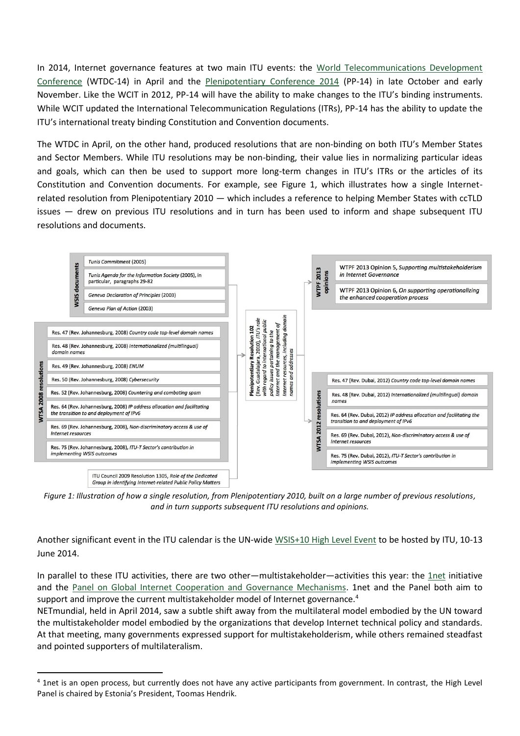In 2014, Internet governance features at two main ITU events: the [World Telecommunications Development](http://www.itu.int/en/ITU-D/Conferences/WTDC/WTDC14/Pages/default.aspx)  [Conference](http://www.itu.int/en/ITU-D/Conferences/WTDC/WTDC14/Pages/default.aspx) (WTDC-14) in April and the [Plenipotentiary Conference 2014](http://www.itu.int/en/plenipotentiary/2014/Pages/default.aspx) (PP-14) in late October and early November. Like the WCIT in 2012, PP-14 will have the ability to make changes to the ITU's binding instruments. While WCIT updated the International Telecommunication Regulations (ITRs), PP-14 has the ability to update the ITU's international treaty binding Constitution and Convention documents.

The WTDC in April, on the other hand, produced resolutions that are non-binding on both ITU's Member States and Sector Members. While ITU resolutions may be non-binding, their value lies in normalizing particular ideas and goals, which can then be used to support more long-term changes in ITU's ITRs or the articles of its Constitution and Convention documents. For example, see Figure 1, which illustrates how a single Internetrelated resolution from Plenipotentiary 2010 — which includes a reference to helping Member States with ccTLD issues — drew on previous ITU resolutions and in turn has been used to inform and shape subsequent ITU resolutions and documents.



*Figure 1: Illustration of how a single resolution, from Plenipotentiary 2010, built on a large number of previous resolutions, and in turn supports subsequent ITU resolutions and opinions.*

Another significant event in the ITU calendar is the UN-wid[e WSIS+10 High Level Event](http://www.itu.int/wsis/implementation/2014/forum/) to be hosted by ITU, 10-13 June 2014.

In parallel to these ITU activities, there are two other—multistakeholder—activities this year: the [1net](http://www.1net.org/) initiative and the [Panel on Global Internet Cooperation and Governance Mechanisms.](http://www.internetgovernancepanel.org/) 1net and the Panel both aim to support and improve the current multistakeholder model of Internet governance.<sup>4</sup>

NETmundial, held in April 2014, saw a subtle shift away from the multilateral model embodied by the UN toward the multistakeholder model embodied by the organizations that develop Internet technical policy and standards. At that meeting, many governments expressed support for multistakeholderism, while others remained steadfast and pointed supporters of multilateralism.

 $\overline{a}$ 

<sup>&</sup>lt;sup>4</sup> 1net is an open process, but currently does not have any active participants from government. In contrast, the High Level Panel is chaired by Estonia's President, Toomas Hendrik.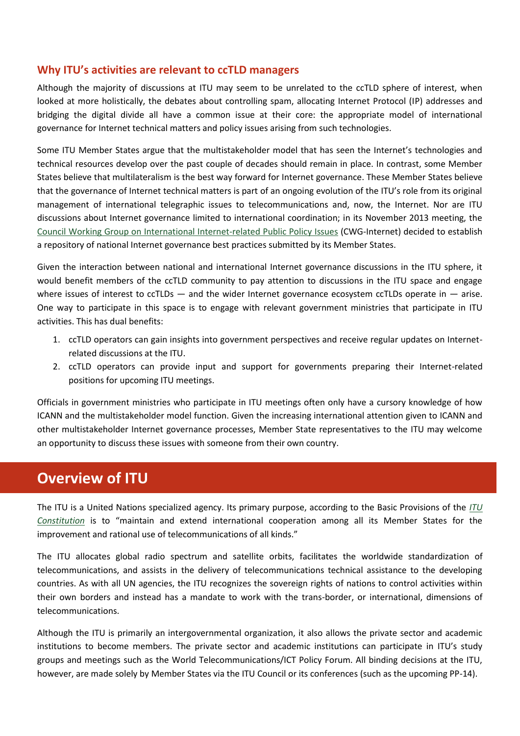#### **Why ITU's activities are relevant to ccTLD managers**

Although the majority of discussions at ITU may seem to be unrelated to the ccTLD sphere of interest, when looked at more holistically, the debates about controlling spam, allocating Internet Protocol (IP) addresses and bridging the digital divide all have a common issue at their core: the appropriate model of international governance for Internet technical matters and policy issues arising from such technologies.

Some ITU Member States argue that the multistakeholder model that has seen the Internet's technologies and technical resources develop over the past couple of decades should remain in place. In contrast, some Member States believe that multilateralism is the best way forward for Internet governance. These Member States believe that the governance of Internet technical matters is part of an ongoing evolution of the ITU's role from its original management of international telegraphic issues to telecommunications and, now, the Internet. Nor are ITU discussions about Internet governance limited to international coordination; in its November 2013 meeting, the [Council Working Group on International Internet-related Public Policy Issues](http://www.itu.int/en/council/cwg-internet/Pages/default.aspx) (CWG-Internet) decided to establish a repository of national Internet governance best practices submitted by its Member States.

Given the interaction between national and international Internet governance discussions in the ITU sphere, it would benefit members of the ccTLD community to pay attention to discussions in the ITU space and engage where issues of interest to ccTLDs  $-$  and the wider Internet governance ecosystem ccTLDs operate in  $-$  arise. One way to participate in this space is to engage with relevant government ministries that participate in ITU activities. This has dual benefits:

- 1. ccTLD operators can gain insights into government perspectives and receive regular updates on Internetrelated discussions at the ITU.
- 2. ccTLD operators can provide input and support for governments preparing their Internet-related positions for upcoming ITU meetings.

Officials in government ministries who participate in ITU meetings often only have a cursory knowledge of how ICANN and the multistakeholder model function. Given the increasing international attention given to ICANN and other multistakeholder Internet governance processes, Member State representatives to the ITU may welcome an opportunity to discuss these issues with someone from their own country.

# **Overview of ITU**

The ITU is a United Nations specialized agency. Its primary purpose, according to the Basic Provisions of the *[ITU](http://www.itu.int/en/history/Pages/ConstitutionAndConvention.aspx)  [Constitution](http://www.itu.int/en/history/Pages/ConstitutionAndConvention.aspx)* is to "maintain and extend international cooperation among all its Member States for the improvement and rational use of telecommunications of all kinds."

The ITU allocates global radio spectrum and satellite orbits, facilitates the worldwide standardization of telecommunications, and assists in the delivery of telecommunications technical assistance to the developing countries. As with all UN agencies, the ITU recognizes the sovereign rights of nations to control activities within their own borders and instead has a mandate to work with the trans-border, or international, dimensions of telecommunications.

Although the ITU is primarily an intergovernmental organization, it also allows the private sector and academic institutions to become members. The private sector and academic institutions can participate in ITU's study groups and meetings such as the World Telecommunications/ICT Policy Forum. All binding decisions at the ITU, however, are made solely by Member States via the ITU Council or its conferences (such as the upcoming PP-14).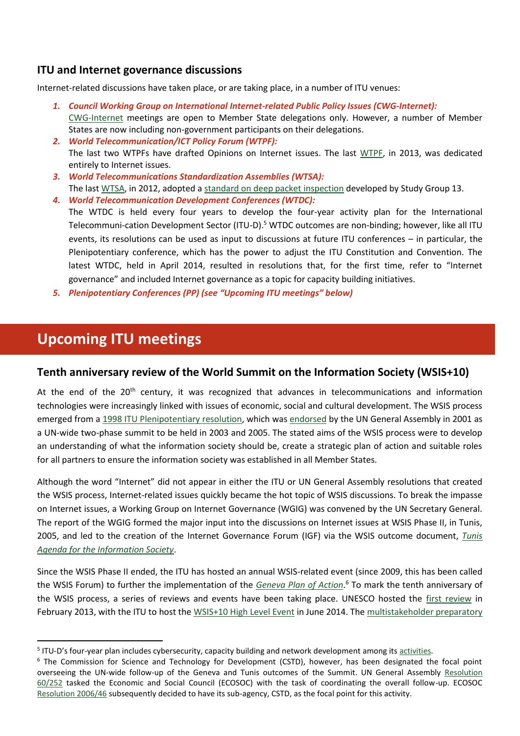### **ITU and Internet governance discussions**

Internet-related discussions have taken place, or are taking place, in a number of ITU venues:

- *1. Council Working Group on International Internet-related Public Policy Issues (CWG-Internet):* [CWG-Internet](http://www.itu.int/council/groups/CWG-internet/index.html) meetings are open to Member State delegations only. However, a number of Member States are now including non-government participants on their delegations.
- *2. World Telecommunication/ICT Policy Forum (WTPF):* The last two WTPFs have drafted Opinions on Internet issues. The last [WTPF,](file:///C:/ttp/::www.itu.int:en:ITU-R:about:Pages:default.aspx) in 2013, was dedicated entirely to Internet issues.
- *3. World Telecommunications Standardization Assemblies (WTSA):* The last [WTSA,](http://www.itu.int/en/ITU-T/wtsa12/Pages/default.aspx) in 2012, adopted a [standard on deep packet inspection](http://www.itu.int/rec/T-REC-Y.2770-201211-I/en) developed by Study Group 13.
- *4. World Telecommunication Development Conferences (WTDC):* The WTDC is held every four years to develop the four-year activity plan for the International Telecommuni-cation Development Sector (ITU-D).<sup>5</sup> WTDC outcomes are non-binding; however, like all ITU events, its resolutions can be used as input to discussions at future ITU conferences – in particular, the Plenipotentiary conference, which has the power to adjust the ITU Constitution and Convention. The latest WTDC, held in April 2014, resulted in resolutions that, for the first time, refer to "Internet governance" and included Internet governance as a topic for capacity building initiatives.
- *5. Plenipotentiary Conferences (PP) (see "Upcoming ITU meetings" below)*

# **Upcoming ITU meetings**

1

### **Tenth anniversary review of the World Summit on the Information Society (WSIS+10)**

At the end of the  $20<sup>th</sup>$  century, it was recognized that advances in telecommunications and information technologies were increasingly linked with issues of economic, social and cultural development. The WSIS process emerged from a [1998 ITU Plenipotentiary resolution,](http://www.itu.int/wsis/docs/background/resolutions/73.html) which wa[s endorsed](http://www.itu.int/wsis/docs/background/resolutions/56_183_unga_2002.pdf) by the UN General Assembly in 2001 as a UN-wide two-phase summit to be held in 2003 and 2005. The stated aims of the WSIS process were to develop an understanding of what the information society should be, create a strategic plan of action and suitable roles for all partners to ensure the information society was established in all Member States.

Although the word "Internet" did not appear in either the ITU or UN General Assembly resolutions that created the WSIS process, Internet-related issues quickly became the hot topic of WSIS discussions. To break the impasse on Internet issues, a Working Group on Internet Governance (WGIG) was convened by the UN Secretary General. The report of the WGIG formed the major input into the discussions on Internet issues at WSIS Phase II, in Tunis, 2005, and led to the creation of the Internet Governance Forum (IGF) via the WSIS outcome document, *[Tunis](http://www.itu.int/wsis/documents/doc_multi.asp?lang=en&id=2267%7C0)  [Agenda for the Information Society](http://www.itu.int/wsis/documents/doc_multi.asp?lang=en&id=2267%7C0)*.

Since the WSIS Phase II ended, the ITU has hosted an annual WSIS-related event (since 2009, this has been called the WSIS Forum) to further the implementation of the *Geneva [Plan of Action](http://www.itu.int/wsis/documents/doc_multi.asp?lang=en&id=1160%7C0)*. <sup>6</sup> To mark the tenth anniversary of the WSIS process, a series of reviews and events have been taking place. UNESCO hosted the [first review](http://www.unesco.org/wsis2013) in February 2013, with the ITU to host th[e WSIS+10 High Level Event](http://www.itu.int/wsis/implementation/2014/forum/) in June 2014. The multistakeholder preparatory

<sup>&</sup>lt;sup>5</sup> ITU-D's four-year plan includes cybersecurity, capacity building and network development among it[s activities.](http://www.itu.int/en/ITU-D/Pages/Development-Activities.aspx)

<sup>&</sup>lt;sup>6</sup> The Commission for Science and Technology for Development (CSTD), however, has been designated the focal point overseeing the UN-wide follow-up of the Geneva and Tunis outcomes of the Summit. UN General Assembly [Resolution](http://www.un.org/events/infoday/2006/N0550272.pdf)  [60/252](http://www.un.org/events/infoday/2006/N0550272.pdf) tasked the Economic and Social Council (ECOSOC) with the task of coordinating the overall follow-up. ECOSOC [Resolution 2006/46](http://www.un.org/en/ecosoc/docs/2006/resolution%202006-46.pdf) subsequently decided to have its sub-agency, CSTD, as the focal point for this activity.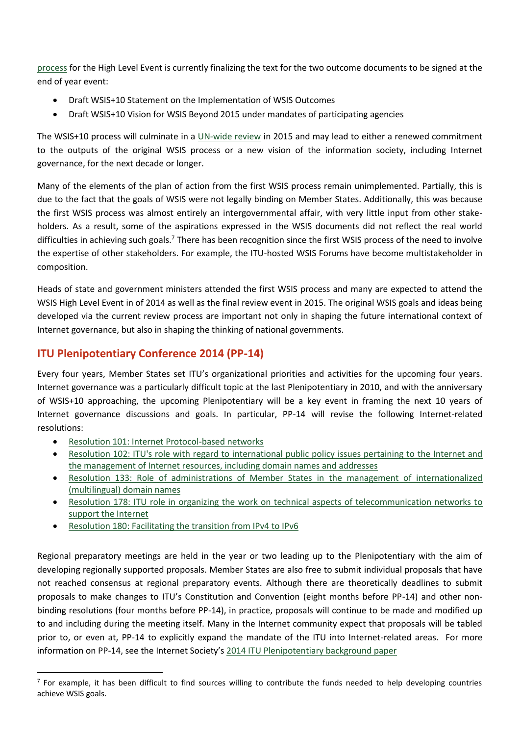[process](http://www.itu.int/wsis/review/mpp/#background) for the High Level Event is currently finalizing the text for the two outcome documents to be signed at the end of year event:

- Draft WSIS+10 Statement on the Implementation of WSIS Outcomes
- Draft WSIS+10 Vision for WSIS Beyond 2015 under mandates of participating agencies

The WSIS+10 process will culminate in a [UN-wide review](http://daccess-ods.un.org/access.nsf/Get?OpenAgent&DS=A/C.2/68/L.73&Lang=E) in 2015 and may lead to either a renewed commitment to the outputs of the original WSIS process or a new vision of the information society, including Internet governance, for the next decade or longer.

Many of the elements of the plan of action from the first WSIS process remain unimplemented. Partially, this is due to the fact that the goals of WSIS were not legally binding on Member States. Additionally, this was because the first WSIS process was almost entirely an intergovernmental affair, with very little input from other stakeholders. As a result, some of the aspirations expressed in the WSIS documents did not reflect the real world difficulties in achieving such goals.<sup>7</sup> There has been recognition since the first WSIS process of the need to involve the expertise of other stakeholders. For example, the ITU-hosted WSIS Forums have become multistakeholder in composition.

Heads of state and government ministers attended the first WSIS process and many are expected to attend the WSIS High Level Event in of 2014 as well as the final review event in 2015. The original WSIS goals and ideas being developed via the current review process are important not only in shaping the future international context of Internet governance, but also in shaping the thinking of national governments.

### **ITU Plenipotentiary Conference 2014 (PP-14)**

Every four years, Member States set ITU's organizational priorities and activities for the upcoming four years. Internet governance was a particularly difficult topic at the last Plenipotentiary in 2010, and with the anniversary of WSIS+10 approaching, the upcoming Plenipotentiary will be a key event in framing the next 10 years of Internet governance discussions and goals. In particular, PP-14 will revise the following Internet-related resolutions:

[Resolution 101: Internet Protocol-based networks](http://www.itu.int/osg/csd/intgov/resoultions_2010/PP-10/RESOLUTION_101.pdf)

 $\overline{a}$ 

- [Resolution 102: ITU's role with regard to international public policy issues pertaining to the Internet and](http://www.itu.int/osg/csd/intgov/resoultions_2010/PP-10/RESOLUTION_102.pdf)  [the management of Internet resources, including domain names and addresses](http://www.itu.int/osg/csd/intgov/resoultions_2010/PP-10/RESOLUTION_102.pdf)
- [Resolution 133: Role of administrations of Member States in the management of internationalized](http://www.itu.int/osg/csd/intgov/resoultions_2010/PP-10/RESOLUTION_133.pdf)  [\(multilingual\) domain names](http://www.itu.int/osg/csd/intgov/resoultions_2010/PP-10/RESOLUTION_133.pdf)
- [Resolution 178: ITU role in organizing the work on technical aspects of telecommunication networks to](http://www.itu.int/osg/csd/intgov/resoultions_2010/PP-10/RESOLUTION_178.pdf)  [support the Internet](http://www.itu.int/osg/csd/intgov/resoultions_2010/PP-10/RESOLUTION_178.pdf)
- [Resolution 180: Facilitating the transition from IPv4 to IPv6](http://www.itu.int/osg/csd/intgov/resoultions_2010/PP-10/RESOLUTION_180.pdf)

Regional preparatory meetings are held in the year or two leading up to the Plenipotentiary with the aim of developing regionally supported proposals. Member States are also free to submit individual proposals that have not reached consensus at regional preparatory events. Although there are theoretically deadlines to submit proposals to make changes to ITU's Constitution and Convention (eight months before PP-14) and other nonbinding resolutions (four months before PP-14), in practice, proposals will continue to be made and modified up to and including during the meeting itself. Many in the Internet community expect that proposals will be tabled prior to, or even at, PP-14 to explicitly expand the mandate of the ITU into Internet-related areas. For more information on PP-14, see the Internet Society's [2014 ITU Plenipotentiary background paper](http://www.internetsociety.org/doc/2014-itu-plenipotentiary-conference-background-paper)

<sup>&</sup>lt;sup>7</sup> For example, it has been difficult to find sources willing to contribute the funds needed to help developing countries achieve WSIS goals.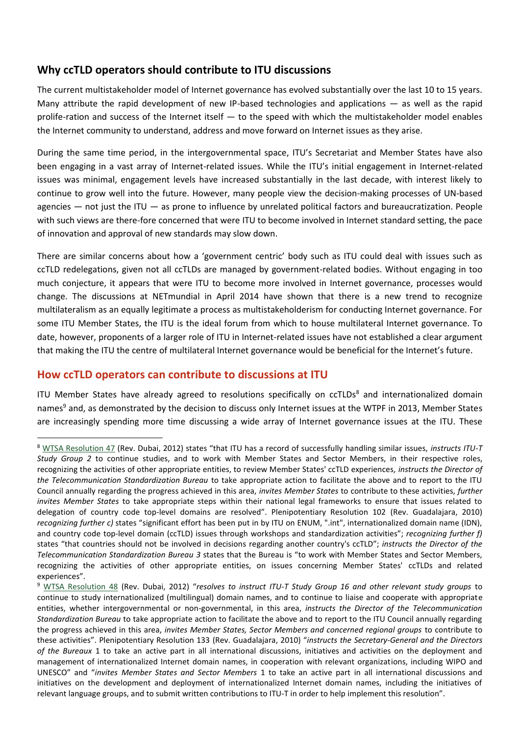## **Why ccTLD operators should contribute to ITU discussions**

The current multistakeholder model of Internet governance has evolved substantially over the last 10 to 15 years. Many attribute the rapid development of new IP-based technologies and applications — as well as the rapid prolife-ration and success of the Internet itself — to the speed with which the multistakeholder model enables the Internet community to understand, address and move forward on Internet issues as they arise.

During the same time period, in the intergovernmental space, ITU's Secretariat and Member States have also been engaging in a vast array of Internet-related issues. While the ITU's initial engagement in Internet-related issues was minimal, engagement levels have increased substantially in the last decade, with interest likely to continue to grow well into the future. However, many people view the decision-making processes of UN-based agencies — not just the ITU — as prone to influence by unrelated political factors and bureaucratization. People with such views are there-fore concerned that were ITU to become involved in Internet standard setting, the pace of innovation and approval of new standards may slow down.

There are similar concerns about how a 'government centric' body such as ITU could deal with issues such as ccTLD redelegations, given not all ccTLDs are managed by government-related bodies. Without engaging in too much conjecture, it appears that were ITU to become more involved in Internet governance, processes would change. The discussions at NETmundial in April 2014 have shown that there is a new trend to recognize multilateralism as an equally legitimate a process as multistakeholderism for conducting Internet governance. For some ITU Member States, the ITU is the ideal forum from which to house multilateral Internet governance. To date, however, proponents of a larger role of ITU in Internet-related issues have not established a clear argument that making the ITU the centre of multilateral Internet governance would be beneficial for the Internet's future.

### **How ccTLD operators can contribute to discussions at ITU**

 $\ddot{\phantom{a}}$ 

ITU Member States have already agreed to resolutions specifically on ccTLDs<sup>8</sup> and internationalized domain names<sup>9</sup> and, as demonstrated by the decision to discuss only Internet issues at the WTPF in 2013, Member States are increasingly spending more time discussing a wide array of Internet governance issues at the ITU. These

<sup>8</sup> [WTSA Resolution 47](http://www.itu.int/pub/T-RES-T.47-2012) (Rev. Dubai, 2012) states "that ITU has a record of successfully handling similar issues, *instructs ITU-T Study Group 2* to continue studies, and to work with Member States and Sector Members, in their respective roles, recognizing the activities of other appropriate entities, to review Member States' ccTLD experiences*, instructs the Director of the Telecommunication Standardization Bureau* to take appropriate action to facilitate the above and to report to the ITU Council annually regarding the progress achieved in this area, *invites Member States* to contribute to these activities, *further invites Member States* to take appropriate steps within their national legal frameworks to ensure that issues related to delegation of country code top-level domains are resolved". Plenipotentiary Resolution 102 (Rev. Guadalajara, 2010) *recognizing further c)* states "significant effort has been put in by ITU on ENUM, ".int", internationalized domain name (IDN), and country code top-level domain (ccTLD) issues through workshops and standardization activities"; *recognizing further f)* states "that countries should not be involved in decisions regarding another country's ccTLD"; *instructs the Director of the Telecommunication Standardization Bureau 3* states that the Bureau is "to work with Member States and Sector Members, recognizing the activities of other appropriate entities, on issues concerning Member States' ccTLDs and related experiences".

<sup>9</sup> [WTSA Resolution 48](http://www.itu.int/pub/T-RES-T.48-2012) (Rev. Dubai, 2012) "*resolves to instruct ITU-T Study Group 16 and other relevant study groups* to continue to study internationalized (multilingual) domain names, and to continue to liaise and cooperate with appropriate entities, whether intergovernmental or non-governmental, in this area, *instructs the Director of the Telecommunication Standardization Bureau* to take appropriate action to facilitate the above and to report to the ITU Council annually regarding the progress achieved in this area, *invites Member States, Sector Members and concerned regional groups* to contribute to these activities". Plenipotentiary Resolution 133 (Rev. Guadalajara, 2010) "*instructs the Secretary-General and the Directors of the Bureaux* 1 to take an active part in all international discussions, initiatives and activities on the deployment and management of internationalized Internet domain names, in cooperation with relevant organizations, including WIPO and UNESCO" and "*invites Member States and Sector Members* 1 to take an active part in all international discussions and initiatives on the development and deployment of internationalized Internet domain names, including the initiatives of relevant language groups, and to submit written contributions to ITU-T in order to help implement this resolution".